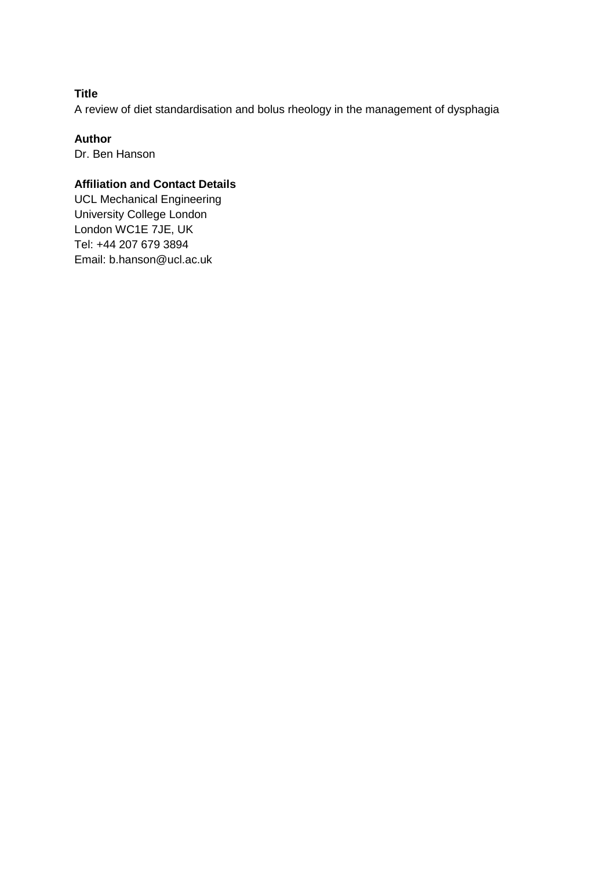# **Title**

A review of diet standardisation and bolus rheology in the management of dysphagia

#### **Author**

Dr. Ben Hanson

# **Affiliation and Contact Details**

UCL Mechanical Engineering University College London London WC1E 7JE, UK Tel: +44 207 679 3894 Email: b.hanson@ucl.ac.uk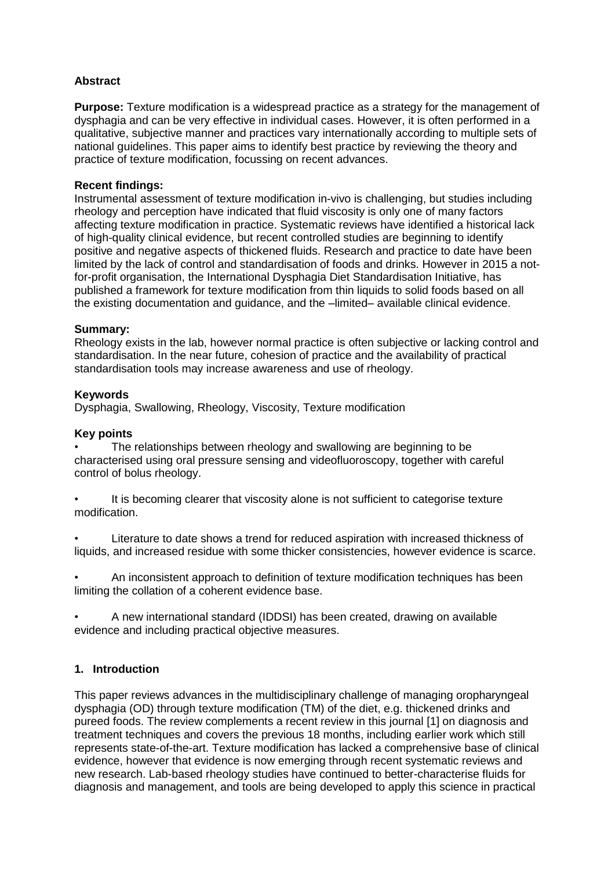# **Abstract**

**Purpose:** Texture modification is a widespread practice as a strategy for the management of dysphagia and can be very effective in individual cases. However, it is often performed in a qualitative, subjective manner and practices vary internationally according to multiple sets of national guidelines. This paper aims to identify best practice by reviewing the theory and practice of texture modification, focussing on recent advances.

### **Recent findings:**

Instrumental assessment of texture modification in-vivo is challenging, but studies including rheology and perception have indicated that fluid viscosity is only one of many factors affecting texture modification in practice. Systematic reviews have identified a historical lack of high-quality clinical evidence, but recent controlled studies are beginning to identify positive and negative aspects of thickened fluids. Research and practice to date have been limited by the lack of control and standardisation of foods and drinks. However in 2015 a notfor-profit organisation, the International Dysphagia Diet Standardisation Initiative, has published a framework for texture modification from thin liquids to solid foods based on all the existing documentation and guidance, and the –limited– available clinical evidence.

#### **Summary:**

Rheology exists in the lab, however normal practice is often subjective or lacking control and standardisation. In the near future, cohesion of practice and the availability of practical standardisation tools may increase awareness and use of rheology.

#### **Keywords**

Dysphagia, Swallowing, Rheology, Viscosity, Texture modification

#### **Key points**

• The relationships between rheology and swallowing are beginning to be characterised using oral pressure sensing and videofluoroscopy, together with careful control of bolus rheology.

It is becoming clearer that viscosity alone is not sufficient to categorise texture modification.

Literature to date shows a trend for reduced aspiration with increased thickness of liquids, and increased residue with some thicker consistencies, however evidence is scarce.

• An inconsistent approach to definition of texture modification techniques has been limiting the collation of a coherent evidence base.

• A new international standard (IDDSI) has been created, drawing on available evidence and including practical objective measures.

### **1. Introduction**

This paper reviews advances in the multidisciplinary challenge of managing oropharyngeal dysphagia (OD) through texture modification (TM) of the diet, e.g. thickened drinks and pureed foods. The review complements a recent review in this journal [1] on diagnosis and treatment techniques and covers the previous 18 months, including earlier work which still represents state-of-the-art. Texture modification has lacked a comprehensive base of clinical evidence, however that evidence is now emerging through recent systematic reviews and new research. Lab-based rheology studies have continued to better-characterise fluids for diagnosis and management, and tools are being developed to apply this science in practical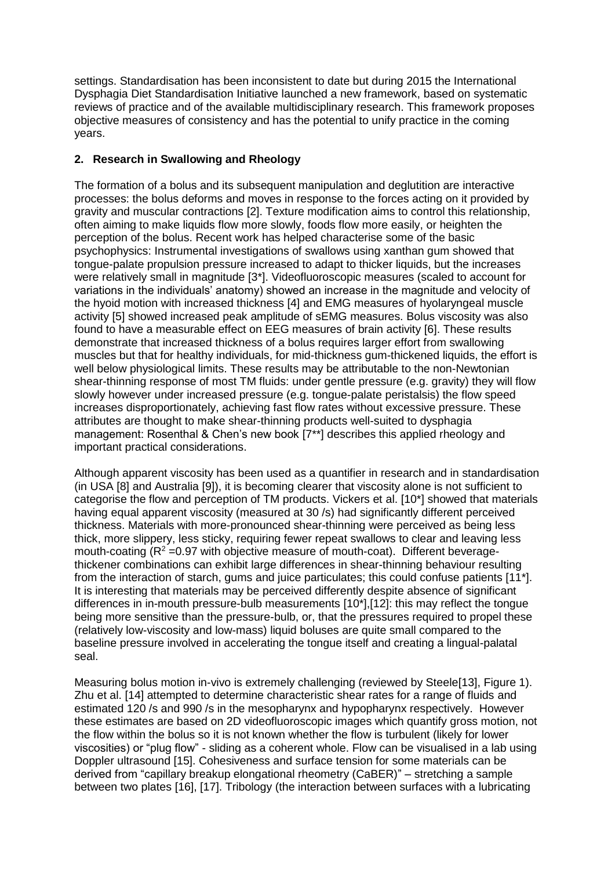settings. Standardisation has been inconsistent to date but during 2015 the International Dysphagia Diet Standardisation Initiative launched a new framework, based on systematic reviews of practice and of the available multidisciplinary research. This framework proposes objective measures of consistency and has the potential to unify practice in the coming years.

# **2. Research in Swallowing and Rheology**

The formation of a bolus and its subsequent manipulation and deglutition are interactive processes: the bolus deforms and moves in response to the forces acting on it provided by gravity and muscular contractions [2]. Texture modification aims to control this relationship, often aiming to make liquids flow more slowly, foods flow more easily, or heighten the perception of the bolus. Recent work has helped characterise some of the basic psychophysics: Instrumental investigations of swallows using xanthan gum showed that tongue-palate propulsion pressure increased to adapt to thicker liquids, but the increases were relatively small in magnitude [3\*]. Videofluoroscopic measures (scaled to account for variations in the individuals' anatomy) showed an increase in the magnitude and velocity of the hyoid motion with increased thickness [4] and EMG measures of hyolaryngeal muscle activity [5] showed increased peak amplitude of sEMG measures. Bolus viscosity was also found to have a measurable effect on EEG measures of brain activity [6]. These results demonstrate that increased thickness of a bolus requires larger effort from swallowing muscles but that for healthy individuals, for mid-thickness gum-thickened liquids, the effort is well below physiological limits. These results may be attributable to the non-Newtonian shear-thinning response of most TM fluids: under gentle pressure (e.g. gravity) they will flow slowly however under increased pressure (e.g. tongue-palate peristalsis) the flow speed increases disproportionately, achieving fast flow rates without excessive pressure. These attributes are thought to make shear-thinning products well-suited to dysphagia management: Rosenthal & Chen's new book [7\*\*] describes this applied rheology and important practical considerations.

Although apparent viscosity has been used as a quantifier in research and in standardisation (in USA [8] and Australia [9]), it is becoming clearer that viscosity alone is not sufficient to categorise the flow and perception of TM products. Vickers et al. [10\*] showed that materials having equal apparent viscosity (measured at 30 /s) had significantly different perceived thickness. Materials with more-pronounced shear-thinning were perceived as being less thick, more slippery, less sticky, requiring fewer repeat swallows to clear and leaving less mouth-coating  $(R^2 = 0.97)$  with objective measure of mouth-coat). Different beveragethickener combinations can exhibit large differences in shear-thinning behaviour resulting from the interaction of starch, gums and juice particulates; this could confuse patients [11\*]. It is interesting that materials may be perceived differently despite absence of significant differences in in-mouth pressure-bulb measurements [10\*],[12]: this may reflect the tongue being more sensitive than the pressure-bulb, or, that the pressures required to propel these (relatively low-viscosity and low-mass) liquid boluses are quite small compared to the baseline pressure involved in accelerating the tongue itself and creating a lingual-palatal seal.

Measuring bolus motion in-vivo is extremely challenging (reviewed by Steele[13], Figure 1). Zhu et al. [14] attempted to determine characteristic shear rates for a range of fluids and estimated 120 /s and 990 /s in the mesopharynx and hypopharynx respectively. However these estimates are based on 2D videofluoroscopic images which quantify gross motion, not the flow within the bolus so it is not known whether the flow is turbulent (likely for lower viscosities) or "plug flow" - sliding as a coherent whole. Flow can be visualised in a lab using Doppler ultrasound [15]. Cohesiveness and surface tension for some materials can be derived from "capillary breakup elongational rheometry (CaBER)" – stretching a sample between two plates [16], [17]. Tribology (the interaction between surfaces with a lubricating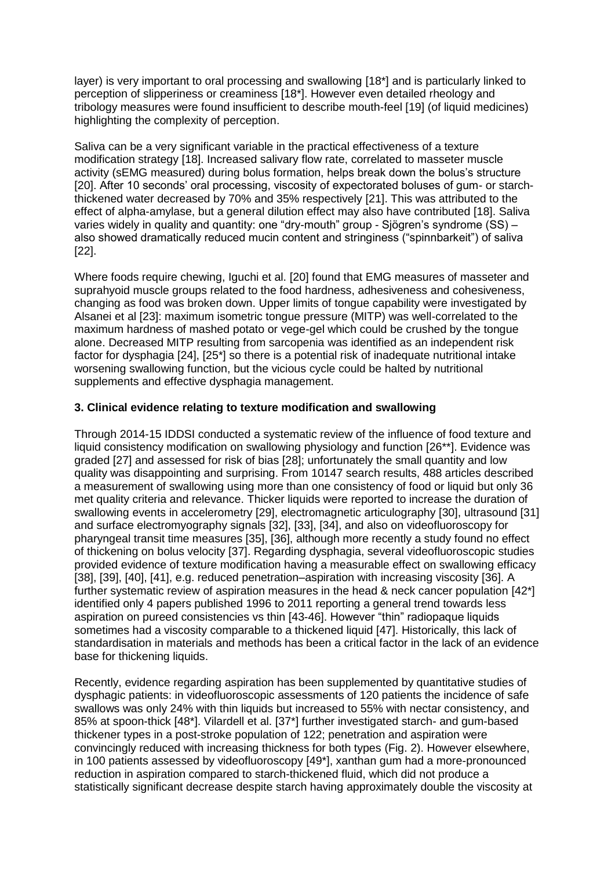layer) is very important to oral processing and swallowing [18\*] and is particularly linked to perception of slipperiness or creaminess [18\*]. However even detailed rheology and tribology measures were found insufficient to describe mouth-feel [19] (of liquid medicines) highlighting the complexity of perception.

Saliva can be a very significant variable in the practical effectiveness of a texture modification strategy [18]. Increased salivary flow rate, correlated to masseter muscle activity (sEMG measured) during bolus formation, helps break down the bolus's structure [20]. After 10 seconds' oral processing, viscosity of expectorated boluses of gum- or starchthickened water decreased by 70% and 35% respectively [21]. This was attributed to the effect of alpha-amylase, but a general dilution effect may also have contributed [18]. Saliva varies widely in quality and quantity: one "dry-mouth" group - Sjögren's syndrome (SS) – also showed dramatically reduced mucin content and stringiness ("spinnbarkeit") of saliva [22].

Where foods require chewing, Iguchi et al. [20] found that EMG measures of masseter and suprahyoid muscle groups related to the food hardness, adhesiveness and cohesiveness, changing as food was broken down. Upper limits of tongue capability were investigated by Alsanei et al [23]: maximum isometric tongue pressure (MITP) was well-correlated to the maximum hardness of mashed potato or vege-gel which could be crushed by the tongue alone. Decreased MITP resulting from sarcopenia was identified as an independent risk factor for dysphagia [24], [25\*] so there is a potential risk of inadequate nutritional intake worsening swallowing function, but the vicious cycle could be halted by nutritional supplements and effective dysphagia management.

### **3. Clinical evidence relating to texture modification and swallowing**

Through 2014-15 IDDSI conducted a systematic review of the influence of food texture and liquid consistency modification on swallowing physiology and function [26\*\*]. Evidence was graded [27] and assessed for risk of bias [28]; unfortunately the small quantity and low quality was disappointing and surprising. From 10147 search results, 488 articles described a measurement of swallowing using more than one consistency of food or liquid but only 36 met quality criteria and relevance. Thicker liquids were reported to increase the duration of swallowing events in accelerometry [29], electromagnetic articulography [30], ultrasound [31] and surface electromyography signals [32], [33], [34], and also on videofluoroscopy for pharyngeal transit time measures [35], [36], although more recently a study found no effect of thickening on bolus velocity [37]. Regarding dysphagia, several videofluoroscopic studies provided evidence of texture modification having a measurable effect on swallowing efficacy [38], [39], [40], [41], e.g. reduced penetration–aspiration with increasing viscosity [36]. A further systematic review of aspiration measures in the head & neck cancer population [42\*] identified only 4 papers published 1996 to 2011 reporting a general trend towards less aspiration on pureed consistencies vs thin [43-46]. However "thin" radiopaque liquids sometimes had a viscosity comparable to a thickened liquid [47]. Historically, this lack of standardisation in materials and methods has been a critical factor in the lack of an evidence base for thickening liquids.

Recently, evidence regarding aspiration has been supplemented by quantitative studies of dysphagic patients: in videofluoroscopic assessments of 120 patients the incidence of safe swallows was only 24% with thin liquids but increased to 55% with nectar consistency, and 85% at spoon-thick [48\*]. Vilardell et al. [37\*] further investigated starch- and gum-based thickener types in a post-stroke population of 122; penetration and aspiration were convincingly reduced with increasing thickness for both types (Fig. 2). However elsewhere, in 100 patients assessed by videofluoroscopy [49\*], xanthan gum had a more-pronounced reduction in aspiration compared to starch-thickened fluid, which did not produce a statistically significant decrease despite starch having approximately double the viscosity at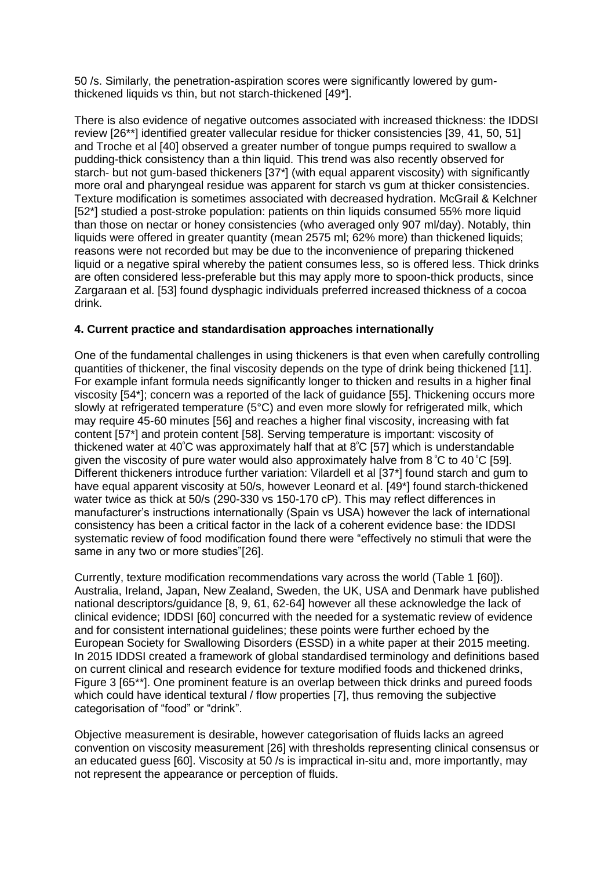50 /s. Similarly, the penetration-aspiration scores were significantly lowered by gumthickened liquids vs thin, but not starch-thickened [49\*].

There is also evidence of negative outcomes associated with increased thickness: the IDDSI review [26\*\*] identified greater vallecular residue for thicker consistencies [39, 41, 50, 51] and Troche et al [40] observed a greater number of tongue pumps required to swallow a pudding-thick consistency than a thin liquid. This trend was also recently observed for starch- but not gum-based thickeners [37\*] (with equal apparent viscosity) with significantly more oral and pharyngeal residue was apparent for starch vs gum at thicker consistencies. Texture modification is sometimes associated with decreased hydration. McGrail & Kelchner [52\*] studied a post-stroke population: patients on thin liquids consumed 55% more liquid than those on nectar or honey consistencies (who averaged only 907 ml/day). Notably, thin liquids were offered in greater quantity (mean 2575 ml; 62% more) than thickened liquids; reasons were not recorded but may be due to the inconvenience of preparing thickened liquid or a negative spiral whereby the patient consumes less, so is offered less. Thick drinks are often considered less-preferable but this may apply more to spoon-thick products, since Zargaraan et al. [53] found dysphagic individuals preferred increased thickness of a cocoa drink.

# **4. Current practice and standardisation approaches internationally**

One of the fundamental challenges in using thickeners is that even when carefully controlling quantities of thickener, the final viscosity depends on the type of drink being thickened [11]. For example infant formula needs significantly longer to thicken and results in a higher final viscosity [54\*]; concern was a reported of the lack of guidance [55]. Thickening occurs more slowly at refrigerated temperature (5°C) and even more slowly for refrigerated milk, which may require 45-60 minutes [56] and reaches a higher final viscosity, increasing with fat content [57\*] and protein content [58]. Serving temperature is important: viscosity of thickened water at 40<sup>º</sup>C was approximately half that at 8<sup>º</sup>C [57] which is understandable given the viscosity of pure water would also approximately halve from  $8\degree$ C to 40 $\degree$ C [59]. Different thickeners introduce further variation: Vilardell et al [37\*] found starch and gum to have equal apparent viscosity at 50/s, however Leonard et al. [49\*] found starch-thickened water twice as thick at 50/s (290-330 vs 150-170 cP). This may reflect differences in manufacturer's instructions internationally (Spain vs USA) however the lack of international consistency has been a critical factor in the lack of a coherent evidence base: the IDDSI systematic review of food modification found there were "effectively no stimuli that were the same in any two or more studies"[26].

Currently, texture modification recommendations vary across the world (Table 1 [60]). Australia, Ireland, Japan, New Zealand, Sweden, the UK, USA and Denmark have published national descriptors/guidance [8, 9, 61, 62-64] however all these acknowledge the lack of clinical evidence; IDDSI [60] concurred with the needed for a systematic review of evidence and for consistent international guidelines; these points were further echoed by the European Society for Swallowing Disorders (ESSD) in a white paper at their 2015 meeting. In 2015 IDDSI created a framework of global standardised terminology and definitions based on current clinical and research evidence for texture modified foods and thickened drinks, Figure 3 [65\*\*]. One prominent feature is an overlap between thick drinks and pureed foods which could have identical textural / flow properties [7], thus removing the subjective categorisation of "food" or "drink".

Objective measurement is desirable, however categorisation of fluids lacks an agreed convention on viscosity measurement [26] with thresholds representing clinical consensus or an educated guess [60]. Viscosity at 50 /s is impractical in-situ and, more importantly, may not represent the appearance or perception of fluids.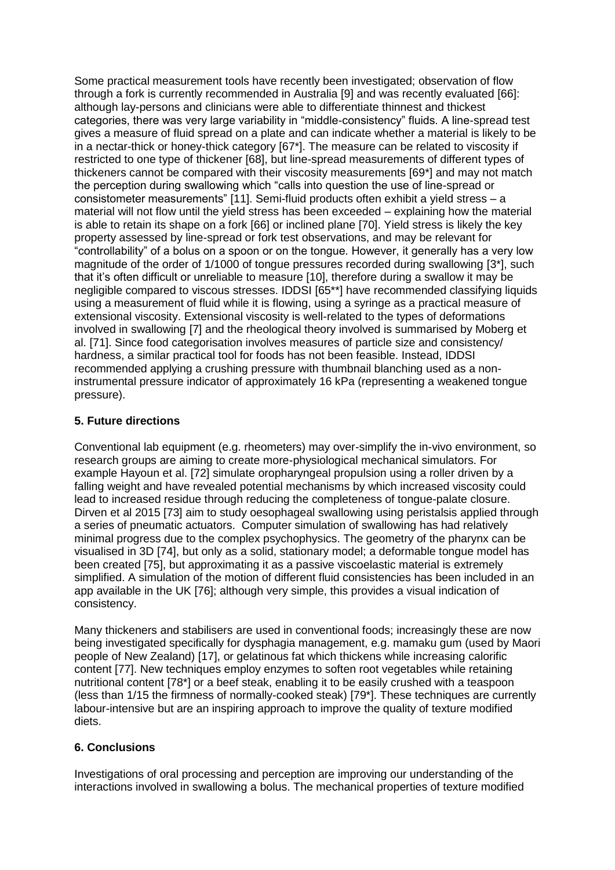Some practical measurement tools have recently been investigated; observation of flow through a fork is currently recommended in Australia [9] and was recently evaluated [66]: although lay-persons and clinicians were able to differentiate thinnest and thickest categories, there was very large variability in "middle-consistency" fluids. A line-spread test gives a measure of fluid spread on a plate and can indicate whether a material is likely to be in a nectar-thick or honey-thick category [67\*]. The measure can be related to viscosity if restricted to one type of thickener [68], but line-spread measurements of different types of thickeners cannot be compared with their viscosity measurements [69\*] and may not match the perception during swallowing which "calls into question the use of line-spread or consistometer measurements" [11]. Semi-fluid products often exhibit a yield stress – a material will not flow until the yield stress has been exceeded – explaining how the material is able to retain its shape on a fork [66] or inclined plane [70]. Yield stress is likely the key property assessed by line-spread or fork test observations, and may be relevant for "controllability" of a bolus on a spoon or on the tongue. However, it generally has a very low magnitude of the order of 1/1000 of tongue pressures recorded during swallowing [3\*], such that it's often difficult or unreliable to measure [10], therefore during a swallow it may be negligible compared to viscous stresses. IDDSI [65\*\*] have recommended classifying liquids using a measurement of fluid while it is flowing, using a syringe as a practical measure of extensional viscosity. Extensional viscosity is well-related to the types of deformations involved in swallowing [7] and the rheological theory involved is summarised by Moberg et al. [71]. Since food categorisation involves measures of particle size and consistency/ hardness, a similar practical tool for foods has not been feasible. Instead, IDDSI recommended applying a crushing pressure with thumbnail blanching used as a noninstrumental pressure indicator of approximately 16 kPa (representing a weakened tongue pressure).

# **5. Future directions**

Conventional lab equipment (e.g. rheometers) may over-simplify the in-vivo environment, so research groups are aiming to create more-physiological mechanical simulators. For example Hayoun et al. [72] simulate oropharyngeal propulsion using a roller driven by a falling weight and have revealed potential mechanisms by which increased viscosity could lead to increased residue through reducing the completeness of tongue-palate closure. Dirven et al 2015 [73] aim to study oesophageal swallowing using peristalsis applied through a series of pneumatic actuators. Computer simulation of swallowing has had relatively minimal progress due to the complex psychophysics. The geometry of the pharynx can be visualised in 3D [74], but only as a solid, stationary model; a deformable tongue model has been created [75], but approximating it as a passive viscoelastic material is extremely simplified. A simulation of the motion of different fluid consistencies has been included in an app available in the UK [76]; although very simple, this provides a visual indication of consistency.

Many thickeners and stabilisers are used in conventional foods; increasingly these are now being investigated specifically for dysphagia management, e.g. mamaku gum (used by Maori people of New Zealand) [17], or gelatinous fat which thickens while increasing calorific content [77]. New techniques employ enzymes to soften root vegetables while retaining nutritional content [78\*] or a beef steak, enabling it to be easily crushed with a teaspoon (less than 1/15 the firmness of normally-cooked steak) [79\*]. These techniques are currently labour-intensive but are an inspiring approach to improve the quality of texture modified diets.

### **6. Conclusions**

Investigations of oral processing and perception are improving our understanding of the interactions involved in swallowing a bolus. The mechanical properties of texture modified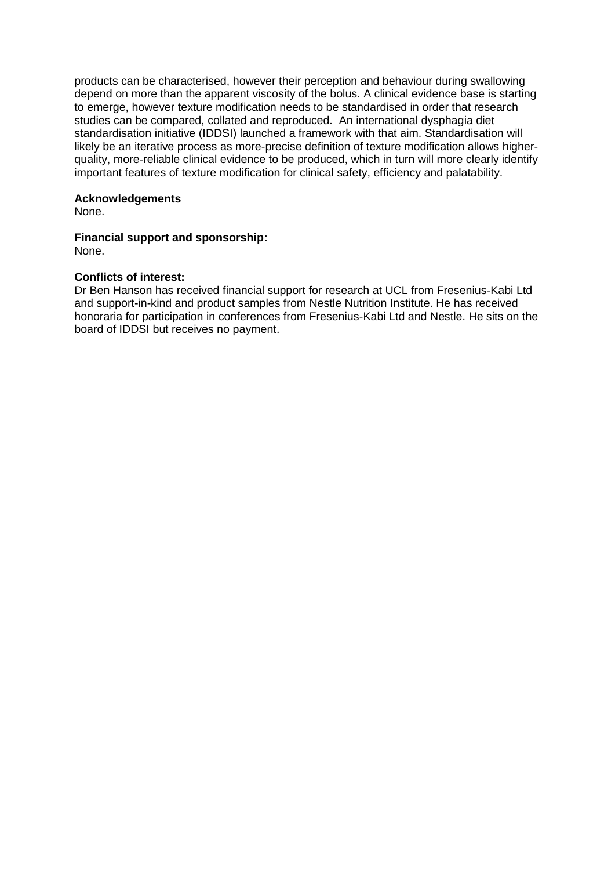products can be characterised, however their perception and behaviour during swallowing depend on more than the apparent viscosity of the bolus. A clinical evidence base is starting to emerge, however texture modification needs to be standardised in order that research studies can be compared, collated and reproduced. An international dysphagia diet standardisation initiative (IDDSI) launched a framework with that aim. Standardisation will likely be an iterative process as more-precise definition of texture modification allows higherquality, more-reliable clinical evidence to be produced, which in turn will more clearly identify important features of texture modification for clinical safety, efficiency and palatability.

### **Acknowledgements**

None.

# **Financial support and sponsorship:**

None.

#### **Conflicts of interest:**

Dr Ben Hanson has received financial support for research at UCL from Fresenius-Kabi Ltd and support-in-kind and product samples from Nestle Nutrition Institute. He has received honoraria for participation in conferences from Fresenius-Kabi Ltd and Nestle. He sits on the board of IDDSI but receives no payment.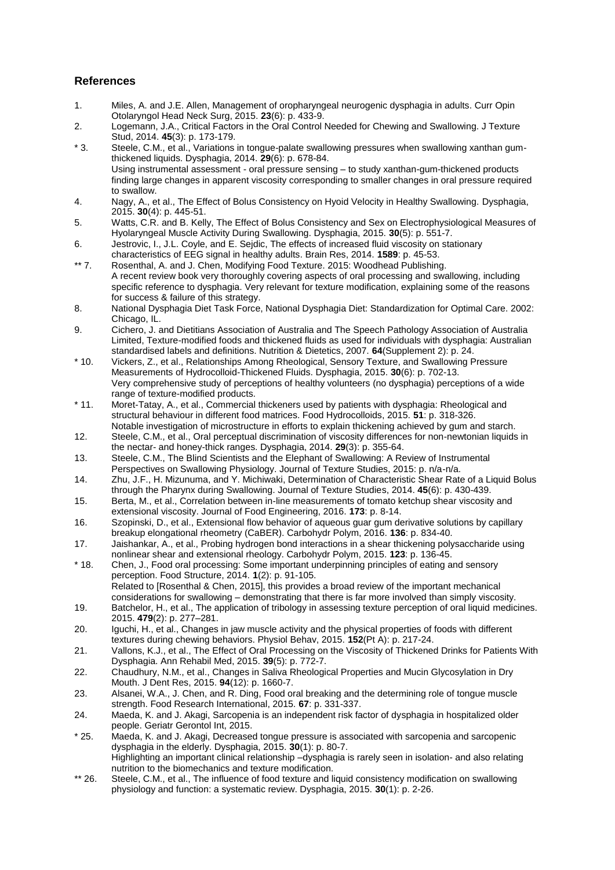# **References**

- 1. Miles, A. and J.E. Allen, Management of oropharyngeal neurogenic dysphagia in adults. Curr Opin Otolaryngol Head Neck Surg, 2015. **23**(6): p. 433-9.
- 2. Logemann, J.A., Critical Factors in the Oral Control Needed for Chewing and Swallowing. J Texture Stud, 2014. **45**(3): p. 173-179.
- \* 3. Steele, C.M., et al., Variations in tongue-palate swallowing pressures when swallowing xanthan gumthickened liquids. Dysphagia, 2014. **29**(6): p. 678-84. Using instrumental assessment - oral pressure sensing – to study xanthan-gum-thickened products finding large changes in apparent viscosity corresponding to smaller changes in oral pressure required to swallow.
- 4. Nagy, A., et al., The Effect of Bolus Consistency on Hyoid Velocity in Healthy Swallowing. Dysphagia, 2015. **30**(4): p. 445-51.
- 5. Watts, C.R. and B. Kelly, The Effect of Bolus Consistency and Sex on Electrophysiological Measures of Hyolaryngeal Muscle Activity During Swallowing. Dysphagia, 2015. **30**(5): p. 551-7.
- 6. Jestrovic, I., J.L. Coyle, and E. Sejdic, The effects of increased fluid viscosity on stationary characteristics of EEG signal in healthy adults. Brain Res, 2014. **1589**: p. 45-53.
- \*\* 7. Rosenthal, A. and J. Chen, Modifying Food Texture. 2015: Woodhead Publishing. A recent review book very thoroughly covering aspects of oral processing and swallowing, including specific reference to dysphagia. Very relevant for texture modification, explaining some of the reasons for success & failure of this strategy.
- 8. National Dysphagia Diet Task Force, National Dysphagia Diet: Standardization for Optimal Care. 2002: Chicago, IL.
- 9. Cichero, J. and Dietitians Association of Australia and The Speech Pathology Association of Australia Limited, Texture-modified foods and thickened fluids as used for individuals with dysphagia: Australian standardised labels and definitions. Nutrition & Dietetics, 2007. **64**(Supplement 2): p. 24.
- \* 10. Vickers, Z., et al., Relationships Among Rheological, Sensory Texture, and Swallowing Pressure Measurements of Hydrocolloid-Thickened Fluids. Dysphagia, 2015. **30**(6): p. 702-13. Very comprehensive study of perceptions of healthy volunteers (no dysphagia) perceptions of a wide range of texture-modified products.
- \* 11. Moret-Tatay, A., et al., Commercial thickeners used by patients with dysphagia: Rheological and structural behaviour in different food matrices. Food Hydrocolloids, 2015. **51**: p. 318-326. Notable investigation of microstructure in efforts to explain thickening achieved by gum and starch.
- 12. Steele, C.M., et al., Oral perceptual discrimination of viscosity differences for non-newtonian liquids in the nectar- and honey-thick ranges. Dysphagia, 2014. **29**(3): p. 355-64.
- 13. Steele, C.M., The Blind Scientists and the Elephant of Swallowing: A Review of Instrumental Perspectives on Swallowing Physiology. Journal of Texture Studies, 2015: p. n/a-n/a.
- 14. Zhu, J.F., H. Mizunuma, and Y. Michiwaki, Determination of Characteristic Shear Rate of a Liquid Bolus through the Pharynx during Swallowing. Journal of Texture Studies, 2014. **45**(6): p. 430-439.
- 15. Berta, M., et al., Correlation between in-line measurements of tomato ketchup shear viscosity and extensional viscosity. Journal of Food Engineering, 2016. **173**: p. 8-14.
- 16. Szopinski, D., et al., Extensional flow behavior of aqueous guar gum derivative solutions by capillary breakup elongational rheometry (CaBER). Carbohydr Polym, 2016. **136**: p. 834-40.
- 17. Jaishankar, A., et al., Probing hydrogen bond interactions in a shear thickening polysaccharide using nonlinear shear and extensional rheology. Carbohydr Polym, 2015. **123**: p. 136-45.
- \* 18. Chen, J., Food oral processing: Some important underpinning principles of eating and sensory perception. Food Structure, 2014. **1**(2): p. 91-105. Related to [Rosenthal & Chen, 2015], this provides a broad review of the important mechanical
- considerations for swallowing demonstrating that there is far more involved than simply viscosity. 19. Batchelor, H., et al., The application of tribology in assessing texture perception of oral liquid medicines. 2015. **479**(2): p. 277–281.
- 20. Iguchi, H., et al., Changes in jaw muscle activity and the physical properties of foods with different textures during chewing behaviors. Physiol Behav, 2015. **152**(Pt A): p. 217-24.
- 21. Vallons, K.J., et al., The Effect of Oral Processing on the Viscosity of Thickened Drinks for Patients With Dysphagia. Ann Rehabil Med, 2015. **39**(5): p. 772-7.
- 22. Chaudhury, N.M., et al., Changes in Saliva Rheological Properties and Mucin Glycosylation in Dry Mouth. J Dent Res, 2015. **94**(12): p. 1660-7.
- 23. Alsanei, W.A., J. Chen, and R. Ding, Food oral breaking and the determining role of tongue muscle strength. Food Research International, 2015. **67**: p. 331-337.
- 24. Maeda, K. and J. Akagi, Sarcopenia is an independent risk factor of dysphagia in hospitalized older people. Geriatr Gerontol Int, 2015.
- \* 25. Maeda, K. and J. Akagi, Decreased tongue pressure is associated with sarcopenia and sarcopenic dysphagia in the elderly. Dysphagia, 2015. **30**(1): p. 80-7. Highlighting an important clinical relationship –dysphagia is rarely seen in isolation- and also relating nutrition to the biomechanics and texture modification.
- \*\* 26. Steele, C.M., et al., The influence of food texture and liquid consistency modification on swallowing physiology and function: a systematic review. Dysphagia, 2015. **30**(1): p. 2-26.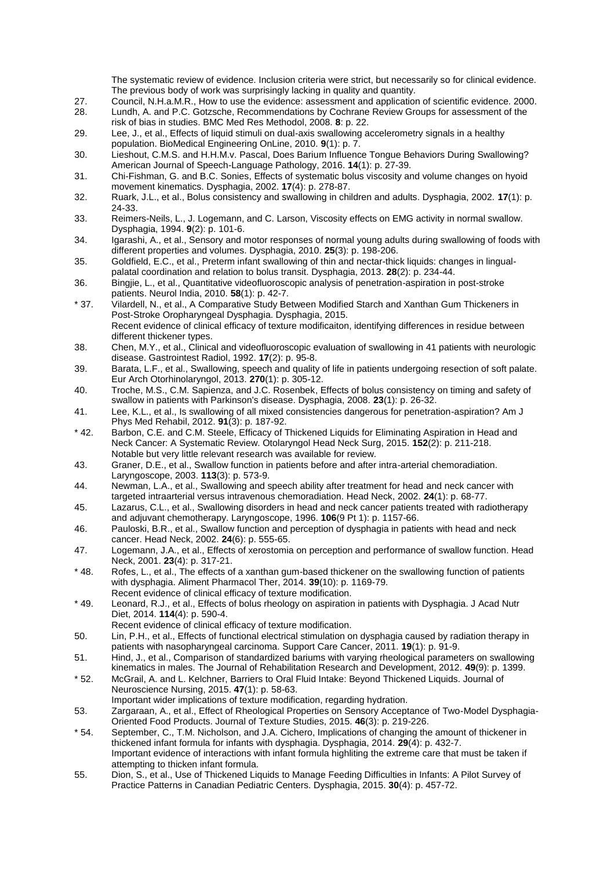The systematic review of evidence. Inclusion criteria were strict, but necessarily so for clinical evidence. The previous body of work was surprisingly lacking in quality and quantity.

- 27. Council, N.H.a.M.R., How to use the evidence: assessment and application of scientific evidence. 2000.
- 28. Lundh, A. and P.C. Gotzsche, Recommendations by Cochrane Review Groups for assessment of the risk of bias in studies. BMC Med Res Methodol, 2008. **8**: p. 22.
- 29. Lee, J., et al., Effects of liquid stimuli on dual-axis swallowing accelerometry signals in a healthy population. BioMedical Engineering OnLine, 2010. **9**(1): p. 7.
- 30. Lieshout, C.M.S. and H.H.M.v. Pascal, Does Barium Influence Tongue Behaviors During Swallowing? American Journal of Speech-Language Pathology, 2016. **14**(1): p. 27-39.
- 31. Chi-Fishman, G. and B.C. Sonies, Effects of systematic bolus viscosity and volume changes on hyoid movement kinematics. Dysphagia, 2002. **17**(4): p. 278-87.
- 32. Ruark, J.L., et al., Bolus consistency and swallowing in children and adults. Dysphagia, 2002. **17**(1): p. 24-33.
- 33. Reimers-Neils, L., J. Logemann, and C. Larson, Viscosity effects on EMG activity in normal swallow. Dysphagia, 1994. **9**(2): p. 101-6.
- 34. Igarashi, A., et al., Sensory and motor responses of normal young adults during swallowing of foods with different properties and volumes. Dysphagia, 2010. **25**(3): p. 198-206.
- 35. Goldfield, E.C., et al., Preterm infant swallowing of thin and nectar-thick liquids: changes in lingualpalatal coordination and relation to bolus transit. Dysphagia, 2013. **28**(2): p. 234-44.
- 36. Bingjie, L., et al., Quantitative videofluoroscopic analysis of penetration-aspiration in post-stroke patients. Neurol India, 2010. **58**(1): p. 42-7.
- \* 37. Vilardell, N., et al., A Comparative Study Between Modified Starch and Xanthan Gum Thickeners in Post-Stroke Oropharyngeal Dysphagia. Dysphagia, 2015. Recent evidence of clinical efficacy of texture modificaiton, identifying differences in residue between different thickener types.
- 38. Chen, M.Y., et al., Clinical and videofluoroscopic evaluation of swallowing in 41 patients with neurologic disease. Gastrointest Radiol, 1992. **17**(2): p. 95-8.
- 39. Barata, L.F., et al., Swallowing, speech and quality of life in patients undergoing resection of soft palate. Eur Arch Otorhinolaryngol, 2013. **270**(1): p. 305-12.
- 40. Troche, M.S., C.M. Sapienza, and J.C. Rosenbek, Effects of bolus consistency on timing and safety of swallow in patients with Parkinson's disease. Dysphagia, 2008. **23**(1): p. 26-32.
- 41. Lee, K.L., et al., Is swallowing of all mixed consistencies dangerous for penetration-aspiration? Am J Phys Med Rehabil, 2012. **91**(3): p. 187-92.
- \* 42. Barbon, C.E. and C.M. Steele, Efficacy of Thickened Liquids for Eliminating Aspiration in Head and Neck Cancer: A Systematic Review. Otolaryngol Head Neck Surg, 2015. **152**(2): p. 211-218. Notable but very little relevant research was available for review.
- 43. Graner, D.E., et al., Swallow function in patients before and after intra-arterial chemoradiation. Laryngoscope, 2003. **113**(3): p. 573-9.
- 44. Newman, L.A., et al., Swallowing and speech ability after treatment for head and neck cancer with targeted intraarterial versus intravenous chemoradiation. Head Neck, 2002. **24**(1): p. 68-77.
- 45. Lazarus, C.L., et al., Swallowing disorders in head and neck cancer patients treated with radiotherapy and adjuvant chemotherapy. Laryngoscope, 1996. **106**(9 Pt 1): p. 1157-66.
- 46. Pauloski, B.R., et al., Swallow function and perception of dysphagia in patients with head and neck cancer. Head Neck, 2002. **24**(6): p. 555-65.
- 47. Logemann, J.A., et al., Effects of xerostomia on perception and performance of swallow function. Head Neck, 2001. **23**(4): p. 317-21.
- \* 48. Rofes, L., et al., The effects of a xanthan gum-based thickener on the swallowing function of patients with dysphagia. Aliment Pharmacol Ther, 2014. **39**(10): p. 1169-79. Recent evidence of clinical efficacy of texture modification.
- \* 49. Leonard, R.J., et al., Effects of bolus rheology on aspiration in patients with Dysphagia. J Acad Nutr Diet, 2014. **114**(4): p. 590-4.
	- Recent evidence of clinical efficacy of texture modification.
- 50. Lin, P.H., et al., Effects of functional electrical stimulation on dysphagia caused by radiation therapy in patients with nasopharyngeal carcinoma. Support Care Cancer, 2011. **19**(1): p. 91-9.
- 51. Hind, J., et al., Comparison of standardized bariums with varying rheological parameters on swallowing kinematics in males. The Journal of Rehabilitation Research and Development, 2012. **49**(9): p. 1399.
- \* 52. McGrail, A. and L. Kelchner, Barriers to Oral Fluid Intake: Beyond Thickened Liquids. Journal of Neuroscience Nursing, 2015. **47**(1): p. 58-63.
- Important wider implications of texture modification, regarding hydration. 53. Zargaraan, A., et al., Effect of Rheological Properties on Sensory Acceptance of Two-Model Dysphagia-Oriented Food Products. Journal of Texture Studies, 2015. **46**(3): p. 219-226.
- \* 54. September, C., T.M. Nicholson, and J.A. Cichero, Implications of changing the amount of thickener in thickened infant formula for infants with dysphagia. Dysphagia, 2014. **29**(4): p. 432-7. Important evidence of interactions with infant formula highliting the extreme care that must be taken if attempting to thicken infant formula.
- 55. Dion, S., et al., Use of Thickened Liquids to Manage Feeding Difficulties in Infants: A Pilot Survey of Practice Patterns in Canadian Pediatric Centers. Dysphagia, 2015. **30**(4): p. 457-72.